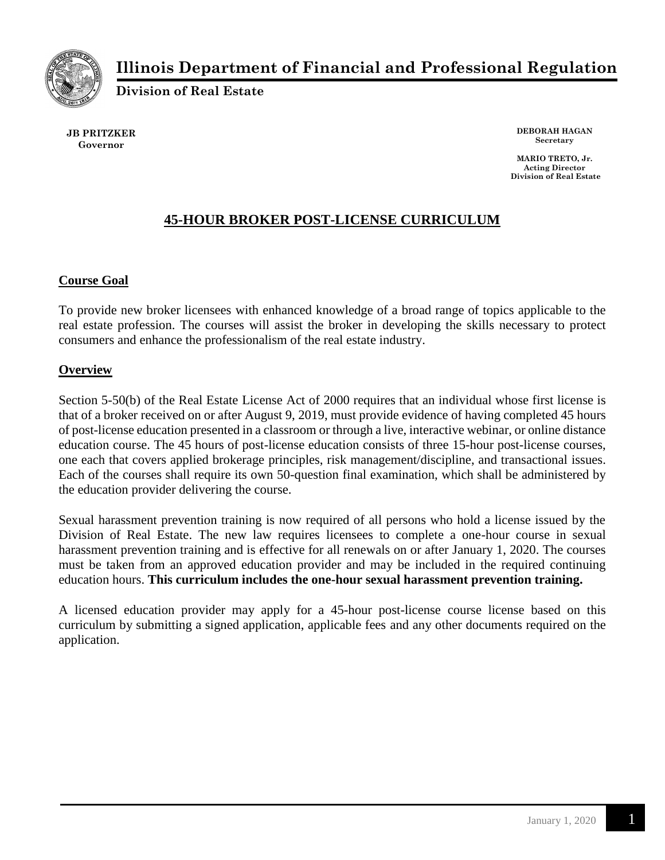

# **Illinois Department of Financial and Professional Regulation**

**Division of Real Estate**

**JB PRITZKER Governor**

**DEBORAH HAGAN Secretary**

**MARIO TRETO, Jr. Acting Director Division of Real Estate**

## **45-HOUR BROKER POST-LICENSE CURRICULUM**

## **Course Goal**

To provide new broker licensees with enhanced knowledge of a broad range of topics applicable to the real estate profession. The courses will assist the broker in developing the skills necessary to protect consumers and enhance the professionalism of the real estate industry.

## **Overview**

Section 5-50(b) of the Real Estate License Act of 2000 requires that an individual whose first license is that of a broker received on or after August 9, 2019, must provide evidence of having completed 45 hours of post-license education presented in a classroom or through a live, interactive webinar, or online distance education course. The 45 hours of post-license education consists of three 15-hour post-license courses, one each that covers applied brokerage principles, risk management/discipline, and transactional issues. Each of the courses shall require its own 50-question final examination, which shall be administered by the education provider delivering the course.

Sexual harassment prevention training is now required of all persons who hold a license issued by the Division of Real Estate. The new law requires licensees to complete a one-hour course in sexual harassment prevention training and is effective for all renewals on or after January 1, 2020. The courses must be taken from an approved education provider and may be included in the required continuing education hours. **This curriculum includes the one-hour sexual harassment prevention training.**

A licensed education provider may apply for a 45-hour post-license course license based on this curriculum by submitting a signed application, applicable fees and any other documents required on the application.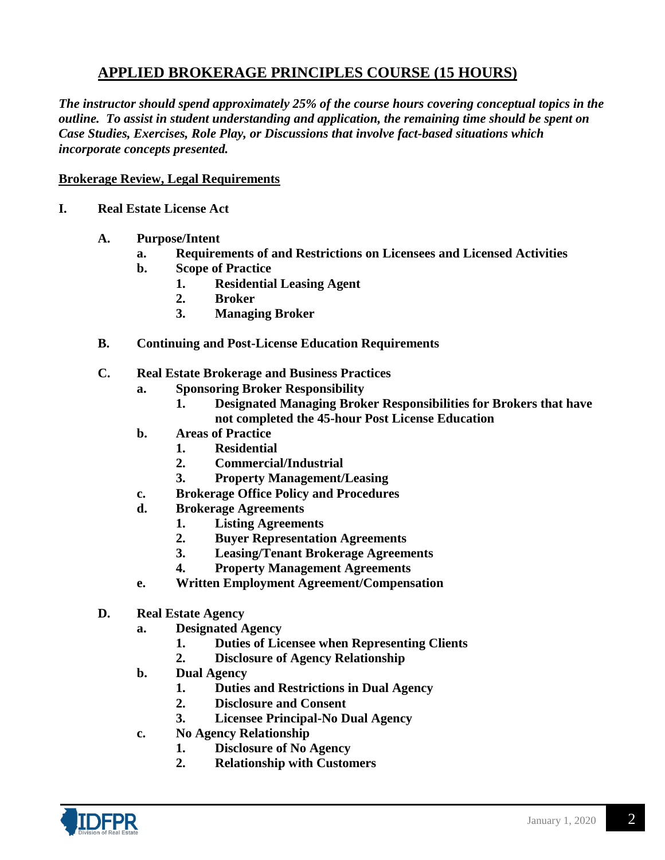## **APPLIED BROKERAGE PRINCIPLES COURSE (15 HOURS)**

*The instructor should spend approximately 25% of the course hours covering conceptual topics in the outline. To assist in student understanding and application, the remaining time should be spent on Case Studies, Exercises, Role Play, or Discussions that involve fact-based situations which incorporate concepts presented.*

### **Brokerage Review, Legal Requirements**

- **I. Real Estate License Act**
	- **A. Purpose/Intent**
		- **a. Requirements of and Restrictions on Licensees and Licensed Activities**
		- **b. Scope of Practice**
			- **1. Residential Leasing Agent**
			- **2. Broker**
			- **3. Managing Broker**
	- **B. Continuing and Post-License Education Requirements**
	- **C. Real Estate Brokerage and Business Practices**
		- **a. Sponsoring Broker Responsibility**
			- **1. Designated Managing Broker Responsibilities for Brokers that have not completed the 45-hour Post License Education**
		- **b. Areas of Practice**
			- **1. Residential**
			- **2. Commercial/Industrial**
			- **3. Property Management/Leasing**
		- **c. Brokerage Office Policy and Procedures**
		- **d. Brokerage Agreements**
			- **1. Listing Agreements**
			- **2. Buyer Representation Agreements**
			- **3. Leasing/Tenant Brokerage Agreements**
			- **4. Property Management Agreements**
		- **e. Written Employment Agreement/Compensation**
	- **D. Real Estate Agency**
		- **a. Designated Agency**
			- **1. Duties of Licensee when Representing Clients**
			- **2. Disclosure of Agency Relationship**
		- **b. Dual Agency**
			- **1. Duties and Restrictions in Dual Agency**
			- **2. Disclosure and Consent**
			- **3. Licensee Principal-No Dual Agency**
		- **c. No Agency Relationship**
			- **1. Disclosure of No Agency**
			- **2. Relationship with Customers**

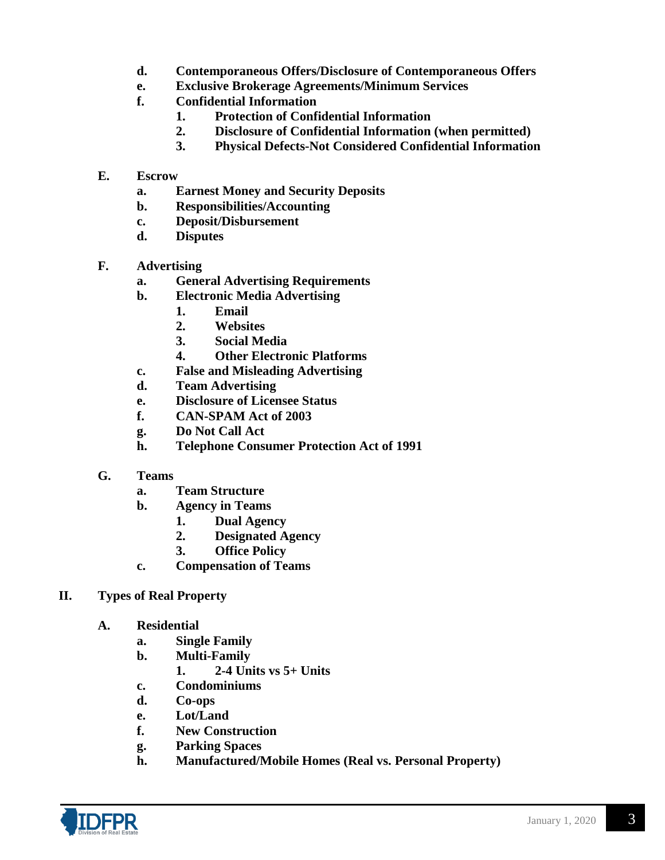- **d. Contemporaneous Offers/Disclosure of Contemporaneous Offers**
- **e. Exclusive Brokerage Agreements/Minimum Services**
- **f. Confidential Information**
	- **1. Protection of Confidential Information**
	- **2. Disclosure of Confidential Information (when permitted)**
	- **3. Physical Defects-Not Considered Confidential Information**
- **E. Escrow** 
	- **a. Earnest Money and Security Deposits**
	- **b. Responsibilities/Accounting**
	- **c. Deposit/Disbursement**
	- **d. Disputes**
- **F. Advertising**
	- **a. General Advertising Requirements**
	- **b. Electronic Media Advertising**
		- **1. Email**
		- **2. Websites**
		- **3. Social Media**
		- **4. Other Electronic Platforms**
	- **c. False and Misleading Advertising**
	- **d. Team Advertising**
	- **e. Disclosure of Licensee Status**
	- **f. CAN-SPAM Act of 2003**
	- **g. Do Not Call Act**
	- **h. Telephone Consumer Protection Act of 1991**
- **G. Teams**
	- **a. Team Structure**
	- **b. Agency in Teams**
		- **1. Dual Agency**
		- **2. Designated Agency**
		- **3. Office Policy**
	- **c. Compensation of Teams**
- **II. Types of Real Property**
	- **A. Residential**
		- **a. Single Family**
		- **b. Multi-Family**
			- **1. 2-4 Units vs 5+ Units**
		- **c. Condominiums**
		- **d. Co-ops**
		- **e. Lot/Land**
		- **f. New Construction**
		- **g. Parking Spaces**
		- **h. Manufactured/Mobile Homes (Real vs. Personal Property)**

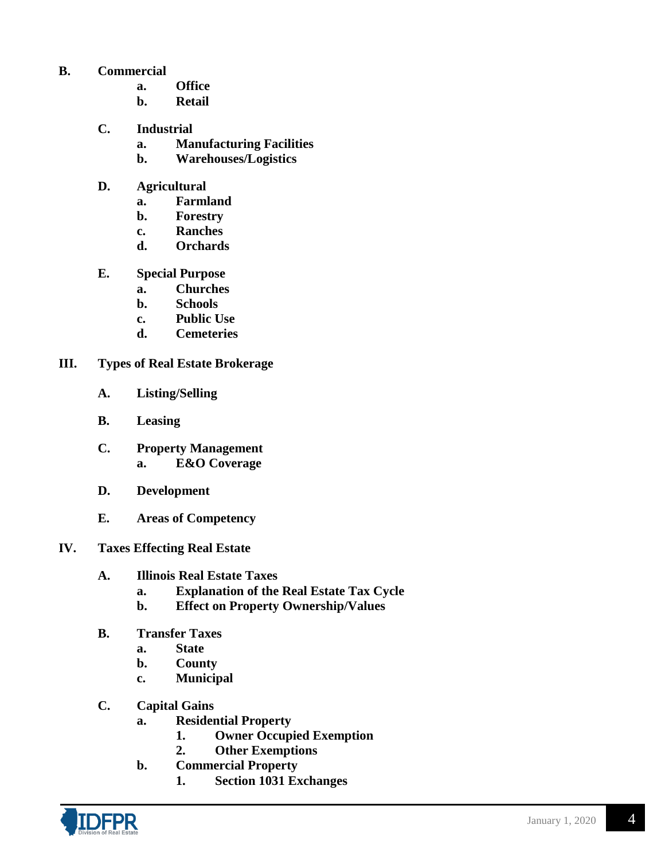## **B. Commercial**

- **a. Office**
- **b. Retail**
- **C. Industrial**
	- **a. Manufacturing Facilities**
	- **b. Warehouses/Logistics**
- **D. Agricultural**
	- **a. Farmland**
	- **b. Forestry**
	- **c. Ranches**
	- **d. Orchards**
- **E. Special Purpose**
	- **a. Churches**
	- **b. Schools**
	- **c. Public Use**
	- **d. Cemeteries**
- **III. Types of Real Estate Brokerage**
	- **A. Listing/Selling**
	- **B. Leasing**
	- **C. Property Management a. E&O Coverage**
	- **D. Development**
	- **E. Areas of Competency**
- **IV. Taxes Effecting Real Estate**
	- **A. Illinois Real Estate Taxes**
		- **a. Explanation of the Real Estate Tax Cycle**
		- **b. Effect on Property Ownership/Values**
	- **B. Transfer Taxes**
		- **a. State**
		- **b. County**
		- **c. Municipal**
	- **C. Capital Gains**
		- **a. Residential Property**
			- **1. Owner Occupied Exemption**
			- **2. Other Exemptions**
		- **b. Commercial Property**
			- **1. Section 1031 Exchanges**

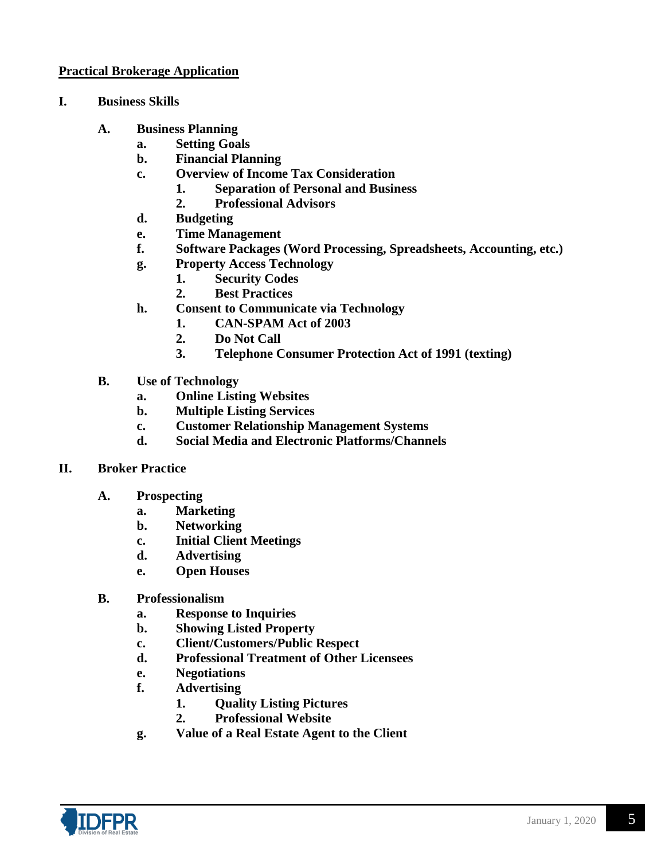## **Practical Brokerage Application**

- **I. Business Skills** 
	- **A. Business Planning**
		- **a. Setting Goals**
		- **b. Financial Planning**
		- **c. Overview of Income Tax Consideration**
			- **1. Separation of Personal and Business**
			- **2. Professional Advisors**
		- **d. Budgeting**
		- **e. Time Management**
		- **f. Software Packages (Word Processing, Spreadsheets, Accounting, etc.)**
		- **g. Property Access Technology**
			- **1. Security Codes**
			- **2. Best Practices**
		- **h. Consent to Communicate via Technology**
			- **1. CAN-SPAM Act of 2003**
			- **2. Do Not Call**
			- **3. Telephone Consumer Protection Act of 1991 (texting)**
	- **B. Use of Technology**
		- **a. Online Listing Websites**
		- **b. Multiple Listing Services**
		- **c. Customer Relationship Management Systems**
		- **d. Social Media and Electronic Platforms/Channels**

#### **II. Broker Practice**

- **A. Prospecting**
	- **a. Marketing**
	- **b. Networking**
	- **c. Initial Client Meetings**
	- **d. Advertising**
	- **e. Open Houses**
- **B. Professionalism**
	- **a. Response to Inquiries**
	- **b. Showing Listed Property**
	- **c. Client/Customers/Public Respect**
	- **d. Professional Treatment of Other Licensees**
	- **e. Negotiations**
	- **f. Advertising**
		- **1. Quality Listing Pictures**
		- **2. Professional Website**
	- **g. Value of a Real Estate Agent to the Client**

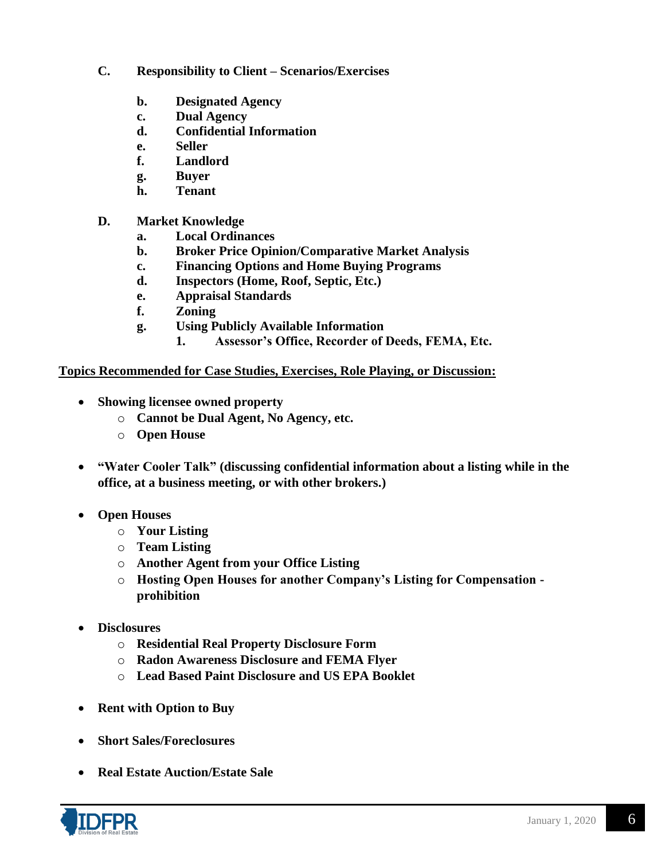- **C. Responsibility to Client – Scenarios/Exercises**
	- **b. Designated Agency**
	- **c. Dual Agency**
	- **d. Confidential Information**
	- **e. Seller**
	- **f. Landlord**
	- **g. Buyer**
	- **h. Tenant**
- **D. Market Knowledge**
	- **a. Local Ordinances**
	- **b. Broker Price Opinion/Comparative Market Analysis**
	- **c. Financing Options and Home Buying Programs**
	- **d. Inspectors (Home, Roof, Septic, Etc.)**
	- **e. Appraisal Standards**
	- **f. Zoning**
	- **g. Using Publicly Available Information**
		- **1. Assessor's Office, Recorder of Deeds, FEMA, Etc.**

## **Topics Recommended for Case Studies, Exercises, Role Playing, or Discussion:**

- **Showing licensee owned property** 
	- o **Cannot be Dual Agent, No Agency, etc.**
	- o **Open House**
- **"Water Cooler Talk" (discussing confidential information about a listing while in the office, at a business meeting, or with other brokers.)**
- **Open Houses**
	- o **Your Listing**
	- o **Team Listing**
	- o **Another Agent from your Office Listing**
	- o **Hosting Open Houses for another Company's Listing for Compensation prohibition**
- **Disclosures**
	- o **Residential Real Property Disclosure Form**
	- o **Radon Awareness Disclosure and FEMA Flyer**
	- o **Lead Based Paint Disclosure and US EPA Booklet**
- **Rent with Option to Buy**
- **Short Sales/Foreclosures**
- **Real Estate Auction/Estate Sale**

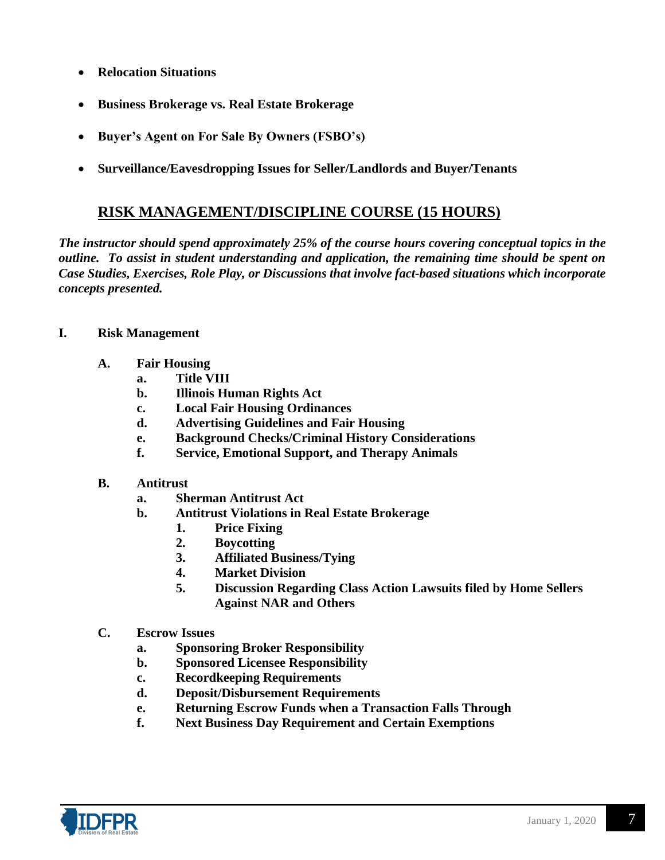- **Relocation Situations**
- **Business Brokerage vs. Real Estate Brokerage**
- **Buyer's Agent on For Sale By Owners (FSBO's)**
- **Surveillance/Eavesdropping Issues for Seller/Landlords and Buyer/Tenants**

## **RISK MANAGEMENT/DISCIPLINE COURSE (15 HOURS)**

*The instructor should spend approximately 25% of the course hours covering conceptual topics in the outline. To assist in student understanding and application, the remaining time should be spent on Case Studies, Exercises, Role Play, or Discussions that involve fact-based situations which incorporate concepts presented.*

- **I. Risk Management**
	- **A. Fair Housing**
		- **a. Title VIII**
		- **b. Illinois Human Rights Act**
		- **c. Local Fair Housing Ordinances**
		- **d. Advertising Guidelines and Fair Housing**
		- **e. Background Checks/Criminal History Considerations**
		- **f. Service, Emotional Support, and Therapy Animals**
	- **B. Antitrust** 
		- **a. Sherman Antitrust Act**
		- **b. Antitrust Violations in Real Estate Brokerage**
			- **1. Price Fixing**
			- **2. Boycotting**
			- **3. Affiliated Business/Tying**
			- **4. Market Division**
			- **5. Discussion Regarding Class Action Lawsuits filed by Home Sellers Against NAR and Others**
	- **C. Escrow Issues**
		- **a. Sponsoring Broker Responsibility**
		- **b. Sponsored Licensee Responsibility**
		- **c. Recordkeeping Requirements**
		- **d. Deposit/Disbursement Requirements**
		- **e. Returning Escrow Funds when a Transaction Falls Through**
		- **f. Next Business Day Requirement and Certain Exemptions**

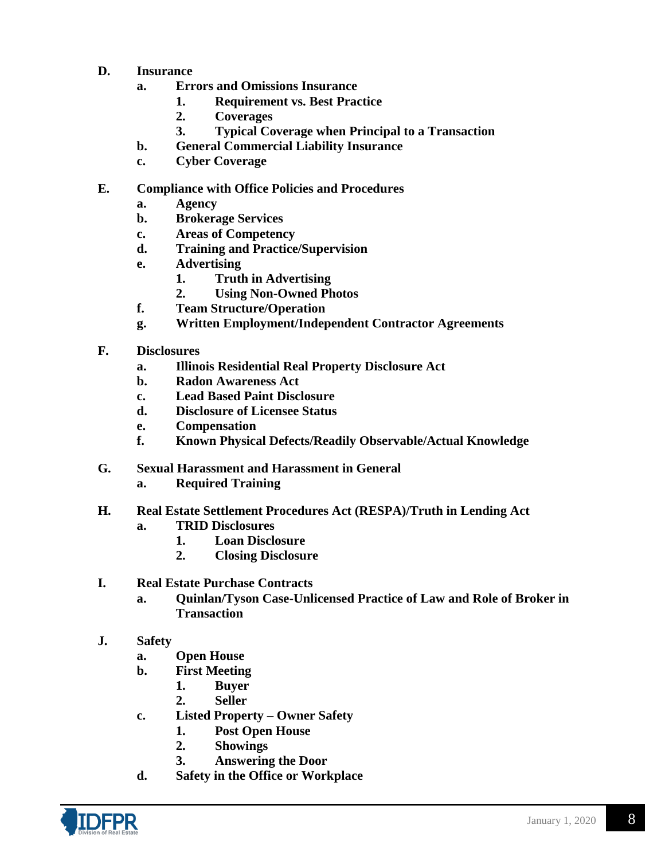- **D. Insurance**
	- **a. Errors and Omissions Insurance**
		- **1. Requirement vs. Best Practice**
		- **2. Coverages**
		- **3. Typical Coverage when Principal to a Transaction**
	- **b. General Commercial Liability Insurance**
	- **c. Cyber Coverage**

## **E. Compliance with Office Policies and Procedures**

- **a. Agency**
- **b. Brokerage Services**
- **c. Areas of Competency**
- **d. Training and Practice/Supervision**
- **e. Advertising**
	- **1. Truth in Advertising**
	- **2. Using Non-Owned Photos**
- **f. Team Structure/Operation**
- **g. Written Employment/Independent Contractor Agreements**
- **F. Disclosures**
	- **a. Illinois Residential Real Property Disclosure Act**
	- **b. Radon Awareness Act**
	- **c. Lead Based Paint Disclosure**
	- **d. Disclosure of Licensee Status**
	- **e. Compensation**
	- **f. Known Physical Defects/Readily Observable/Actual Knowledge**
- **G. Sexual Harassment and Harassment in General**
	- **a. Required Training**

#### **H. Real Estate Settlement Procedures Act (RESPA)/Truth in Lending Act**

- **a. TRID Disclosures**
	- **1. Loan Disclosure**
	- **2. Closing Disclosure**
- **I. Real Estate Purchase Contracts**
	- **a. Quinlan/Tyson Case-Unlicensed Practice of Law and Role of Broker in Transaction**
- **J. Safety**
	- **a. Open House**
	- **b. First Meeting**
		- **1. Buyer**
		- **2. Seller**
	- **c. Listed Property – Owner Safety**
		- **1. Post Open House**
		- **2. Showings**
		- **3. Answering the Door**
	- **d. Safety in the Office or Workplace**

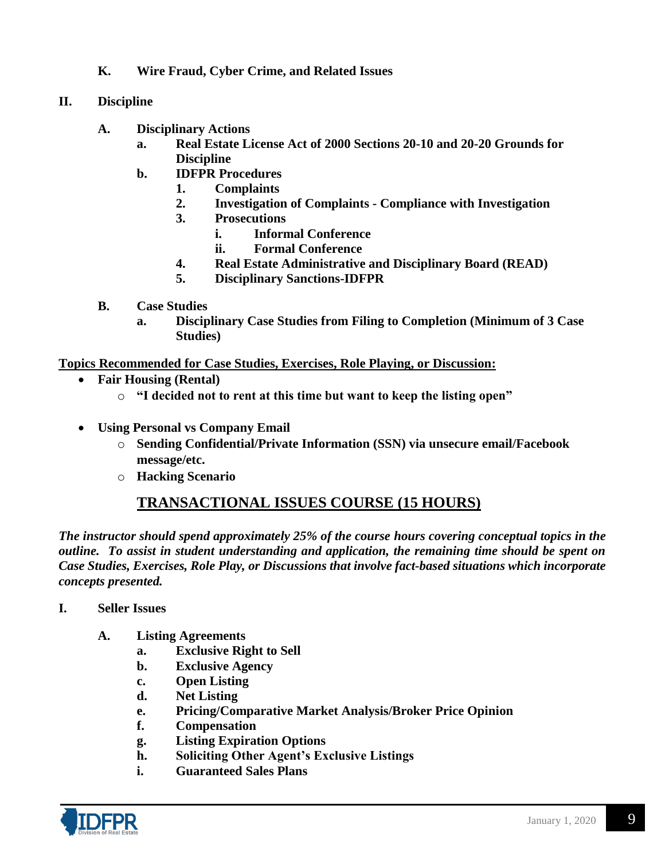- **K. Wire Fraud, Cyber Crime, and Related Issues**
- **II. Discipline**
	- **A. Disciplinary Actions**
		- **a. Real Estate License Act of 2000 Sections 20-10 and 20-20 Grounds for Discipline**
		- **b. IDFPR Procedures**
			- **1. Complaints**
			- **2. Investigation of Complaints - Compliance with Investigation**
			- **3. Prosecutions**
				- **i. Informal Conference**
				- **ii. Formal Conference**
			- **4. Real Estate Administrative and Disciplinary Board (READ)**
			- **5. Disciplinary Sanctions-IDFPR**
	- **B. Case Studies**
		- **a. Disciplinary Case Studies from Filing to Completion (Minimum of 3 Case Studies)**

**Topics Recommended for Case Studies, Exercises, Role Playing, or Discussion:**

- **Fair Housing (Rental)** 
	- o **"I decided not to rent at this time but want to keep the listing open"**
- **Using Personal vs Company Email**
	- o **Sending Confidential/Private Information (SSN) via unsecure email/Facebook message/etc.**
	- o **Hacking Scenario**

## **TRANSACTIONAL ISSUES COURSE (15 HOURS)**

*The instructor should spend approximately 25% of the course hours covering conceptual topics in the outline. To assist in student understanding and application, the remaining time should be spent on Case Studies, Exercises, Role Play, or Discussions that involve fact-based situations which incorporate concepts presented.*

- **I. Seller Issues**
	- **A. Listing Agreements**
		- **a. Exclusive Right to Sell**
		- **b. Exclusive Agency**
		- **c. Open Listing**
		- **d. Net Listing**
		- **e. Pricing/Comparative Market Analysis/Broker Price Opinion**
		- **f. Compensation**
		- **g. Listing Expiration Options**
		- **h. Soliciting Other Agent's Exclusive Listings**
		- **i. Guaranteed Sales Plans**

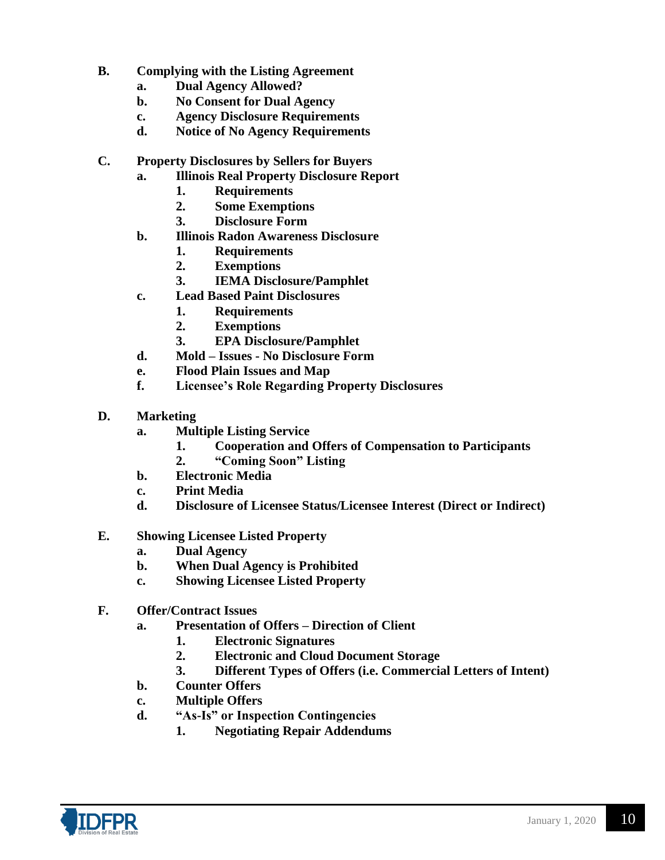- **B. Complying with the Listing Agreement**
	- **a. Dual Agency Allowed?**
	- **b. No Consent for Dual Agency**
	- **c. Agency Disclosure Requirements**
	- **d. Notice of No Agency Requirements**
- **C. Property Disclosures by Sellers for Buyers** 
	- **a. Illinois Real Property Disclosure Report**
		- **1. Requirements**
		- **2. Some Exemptions**
		- **3. Disclosure Form**
	- **b. Illinois Radon Awareness Disclosure**
		- **1. Requirements**
		- **2. Exemptions**
		- **3. IEMA Disclosure/Pamphlet**
	- **c. Lead Based Paint Disclosures**
		- **1. Requirements**
		- **2. Exemptions**
		- **3. EPA Disclosure/Pamphlet**
	- **d. Mold – Issues - No Disclosure Form**
	- **e. Flood Plain Issues and Map**
	- **f. Licensee's Role Regarding Property Disclosures**
- **D. Marketing**
	- **a. Multiple Listing Service**
		- **1. Cooperation and Offers of Compensation to Participants**
		- **2. "Coming Soon" Listing**
	- **b. Electronic Media**
	- **c. Print Media**
	- **d. Disclosure of Licensee Status/Licensee Interest (Direct or Indirect)**
- **E. Showing Licensee Listed Property**
	- **a. Dual Agency**
	- **b. When Dual Agency is Prohibited**
	- **c. Showing Licensee Listed Property**
- **F. Offer/Contract Issues**
	- **a. Presentation of Offers – Direction of Client**
		- **1. Electronic Signatures**
		- **2. Electronic and Cloud Document Storage**
		- **3. Different Types of Offers (i.e. Commercial Letters of Intent)**
	- **b. Counter Offers**
	- **c. Multiple Offers**
	- **d. "As-Is" or Inspection Contingencies**
		- **1. Negotiating Repair Addendums**

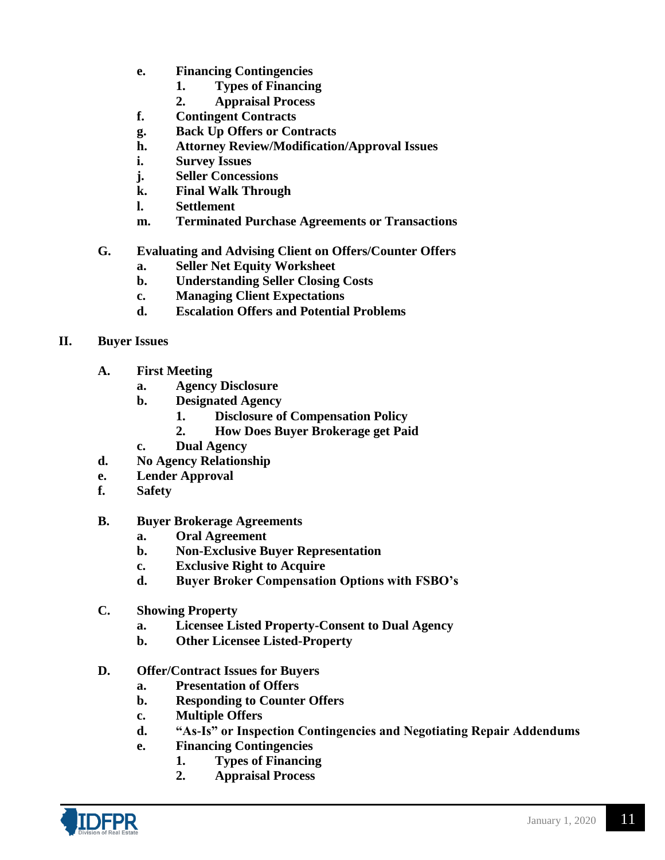- **e. Financing Contingencies**
	- **1. Types of Financing**
	- **2. Appraisal Process**
- **f. Contingent Contracts**
- **g. Back Up Offers or Contracts**
- **h. Attorney Review/Modification/Approval Issues**
- **i. Survey Issues**
- **j. Seller Concessions**
- **k. Final Walk Through**
- **l. Settlement**
- **m. Terminated Purchase Agreements or Transactions**
- **G. Evaluating and Advising Client on Offers/Counter Offers**
	- **a. Seller Net Equity Worksheet**
	- **b. Understanding Seller Closing Costs**
	- **c. Managing Client Expectations**
	- **d. Escalation Offers and Potential Problems**
- **II. Buyer Issues**
	- **A. First Meeting**
		- **a. Agency Disclosure**
		- **b. Designated Agency**
			- **1. Disclosure of Compensation Policy**
			- **2. How Does Buyer Brokerage get Paid**
		- **c. Dual Agency**
	- **d. No Agency Relationship**
	- **e. Lender Approval**
	- **f. Safety**
	- **B. Buyer Brokerage Agreements**
		- **a. Oral Agreement**
		- **b. Non-Exclusive Buyer Representation**
		- **c. Exclusive Right to Acquire**
		- **d. Buyer Broker Compensation Options with FSBO's**
	- **C. Showing Property**
		- **a. Licensee Listed Property-Consent to Dual Agency**
		- **b. Other Licensee Listed-Property**
	- **D. Offer/Contract Issues for Buyers**
		- **a. Presentation of Offers**
		- **b. Responding to Counter Offers**
		- **c. Multiple Offers**
		- **d. "As-Is" or Inspection Contingencies and Negotiating Repair Addendums**
		- **e. Financing Contingencies**
			- **1. Types of Financing**
			- **2. Appraisal Process**